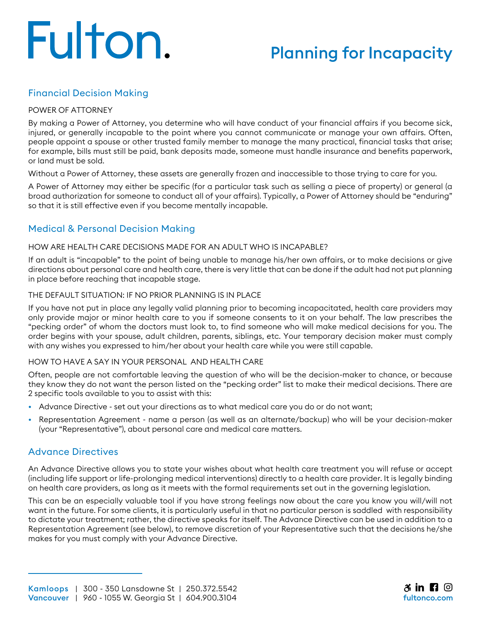# Fulton.

# Planning for Incapacity

# Financial Decision Making

#### POWER OF ATTORNEY

By making a Power of Attorney, you determine who will have conduct of your financial affairs if you become sick, injured, or generally incapable to the point where you cannot communicate or manage your own affairs. Often, people appoint a spouse or other trusted family member to manage the many practical, financial tasks that arise; for example, bills must still be paid, bank deposits made, someone must handle insurance and benefits paperwork, or land must be sold.

Without a Power of Attorney, these assets are generally frozen and inaccessible to those trying to care for you.

A Power of Attorney may either be specific (for a particular task such as selling a piece of property) or general (a broad authorization for someone to conduct all of your affairs). Typically, a Power of Attorney should be "enduring" so that it is still effective even if you become mentally incapable.

# Medical & Personal Decision Making

#### HOW ARE HEALTH CARE DECISIONS MADE FOR AN ADULT WHO IS INCAPABLE?

If an adult is "incapable" to the point of being unable to manage his/her own affairs, or to make decisions or give directions about personal care and health care, there is very little that can be done if the adult had not put planning in place before reaching that incapable stage.

#### THE DEFAULT SITUATION: IF NO PRIOR PLANNING IS IN PLACE

If you have not put in place any legally valid planning prior to becoming incapacitated, health care providers may only provide major or minor health care to you if someone consents to it on your behalf. The law prescribes the "pecking order" of whom the doctors must look to, to find someone who will make medical decisions for you. The order begins with your spouse, adult children, parents, siblings, etc. Your temporary decision maker must comply with any wishes you expressed to him/her about your health care while you were still capable.

#### HOW TO HAVE A SAY IN YOUR PERSONAL AND HEALTH CARE

Often, people are not comfortable leaving the question of who will be the decision-maker to chance, or because they know they do not want the person listed on the "pecking order" list to make their medical decisions. There are 2 specific tools available to you to assist with this:

- Advance Directive set out your directions as to what medical care you do or do not want;
- Representation Agreement name a person (as well as an alternate/backup) who will be your decision-maker (your "Representative"), about personal care and medical care matters.

### Advance Directives

An Advance Directive allows you to state your wishes about what health care treatment you will refuse or accept (including life support or life-prolonging medical interventions) directly to a health care provider. It is legally binding on health care providers, as long as it meets with the formal requirements set out in the governing legislation.

This can be an especially valuable tool if you have strong feelings now about the care you know you will/will not want in the future. For some clients, it is particularly useful in that no particular person is saddled with responsibility to dictate your treatment; rather, the directive speaks for itself. The Advance Directive can be used in addition to a Representation Agreement (see below), to remove discretion of your Representative such that the decisions he/she makes for you must comply with your Advance Directive.